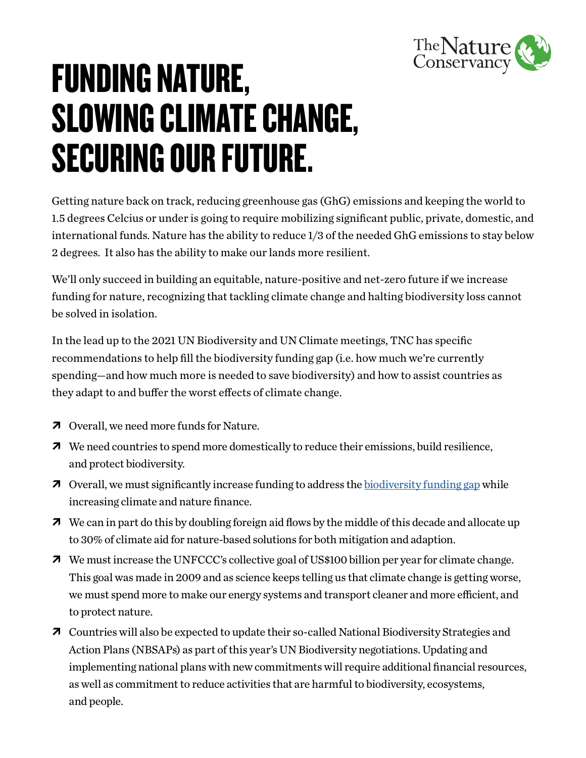

## FUNDING NATURE, SLOWING CLIMATE CHANGE, SECURING OUR FUTURE.

Getting nature back on track, reducing greenhouse gas (GhG) emissions and keeping the world to 1.5 degrees Celcius or under is going to require mobilizing significant public, private, domestic, and international funds. Nature has the ability to reduce 1/3 of the needed GhG emissions to stay below 2 degrees. It also has the ability to make our lands more resilient.

We'll only succeed in building an equitable, nature-positive and net-zero future if we increase funding for nature, recognizing that tackling climate change and halting biodiversity loss cannot be solved in isolation.

In the lead up to the 2021 UN Biodiversity and UN Climate meetings, TNC has specific recommendations to help fill the biodiversity funding gap (i.e. how much we're currently spending—and how much more is needed to save biodiversity) and how to assist countries as they adapt to and buffer the worst effects of climate change.

- $\overline{7}$  Overall, we need more funds for Nature.
- $\lambda$  We need countries to spend more domestically to reduce their emissions, build resilience, and protect biodiversity.
- $\lambda$  Overall, we must significantly increase funding to address the [biodiversity funding gap](https://www.nature.org/en-us/what-we-do/our-insights/perspectives/closing-nature-funding-gap-global-biodiversity-finance/) while increasing climate and nature finance.
- $\lambda$  We can in part do this by doubling foreign aid flows by the middle of this decade and allocate up to 30% of climate aid for nature-based solutions for both mitigation and adaption.
- $\overline{A}$  We must increase the UNFCCC's collective goal of US\$100 billion per year for climate change. This goal was made in 2009 and as science keeps telling us that climate change is getting worse, we must spend more to make our energy systems and transport cleaner and more efficient, and to protect nature.
- À Countries will also be expected to update their so-called National Biodiversity Strategies and Action Plans (NBSAPs) as part of this year's UN Biodiversity negotiations. Updating and implementing national plans with new commitments will require additional financial resources, as well as commitment to reduce activities that are harmful to biodiversity, ecosystems, and people.